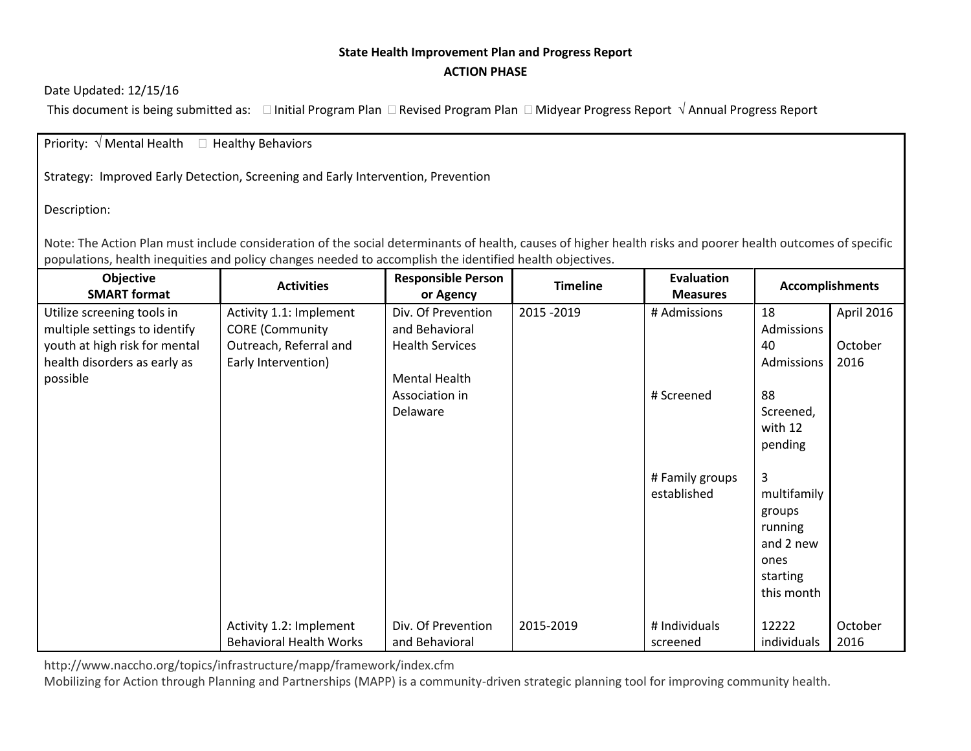## **State Health Improvement Plan and Progress Report ACTION PHASE**

## Date Updated: 12/15/16

This document is being submitted as:  $\Box$  Initial Program Plan  $\Box$  Revised Program Plan  $\Box$  Midyear Progress Report  $\sqrt{ }$  Annual Progress Report

## Priority:  $\sqrt{ }$  Mental Health  $\Box$  Healthy Behaviors

Strategy: Improved Early Detection, Screening and Early Intervention, Prevention

Description:

Note: The Action Plan must include consideration of the social determinants of health, causes of higher health risks and poorer health outcomes of specific populations, health inequities and policy changes needed to accomplish the identified health objectives.

| Objective<br><b>SMART format</b>                                                                                                         | <b>Activities</b>                                                                                  | <b>Responsible Person</b><br>or Agency                                                                   | <b>Timeline</b> | Evaluation<br><b>Measures</b>  | <b>Accomplishments</b>                                                               |                               |
|------------------------------------------------------------------------------------------------------------------------------------------|----------------------------------------------------------------------------------------------------|----------------------------------------------------------------------------------------------------------|-----------------|--------------------------------|--------------------------------------------------------------------------------------|-------------------------------|
| Utilize screening tools in<br>multiple settings to identify<br>youth at high risk for mental<br>health disorders as early as<br>possible | Activity 1.1: Implement<br><b>CORE</b> (Community<br>Outreach, Referral and<br>Early Intervention) | Div. Of Prevention<br>and Behavioral<br><b>Health Services</b><br><b>Mental Health</b><br>Association in | 2015 - 2019     | # Admissions<br># Screened     | 18<br>Admissions<br>40<br>Admissions<br>88                                           | April 2016<br>October<br>2016 |
|                                                                                                                                          |                                                                                                    | Delaware                                                                                                 |                 |                                | Screened,<br>with 12<br>pending                                                      |                               |
|                                                                                                                                          |                                                                                                    |                                                                                                          |                 | # Family groups<br>established | 3<br>multifamily<br>groups<br>running<br>and 2 new<br>ones<br>starting<br>this month |                               |
|                                                                                                                                          | Activity 1.2: Implement<br><b>Behavioral Health Works</b>                                          | Div. Of Prevention<br>and Behavioral                                                                     | 2015-2019       | # Individuals<br>screened      | 12222<br>individuals                                                                 | October<br>2016               |

http://www.naccho.org/topics/infrastructure/mapp/framework/index.cfm

Mobilizing for Action through Planning and Partnerships (MAPP) is a community-driven strategic planning tool for improving community health.